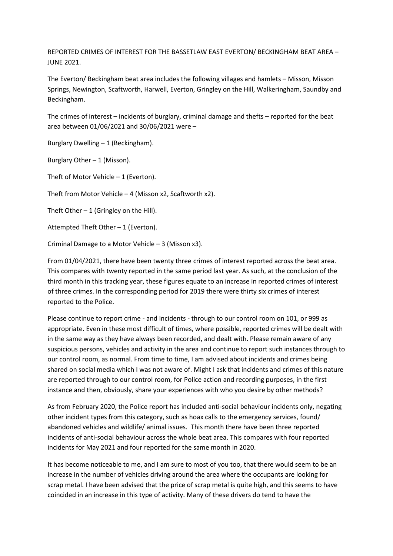REPORTED CRIMES OF INTEREST FOR THE BASSETLAW EAST EVERTON/ BECKINGHAM BEAT AREA – JUNE 2021.

The Everton/ Beckingham beat area includes the following villages and hamlets – Misson, Misson Springs, Newington, Scaftworth, Harwell, Everton, Gringley on the Hill, Walkeringham, Saundby and Beckingham.

The crimes of interest – incidents of burglary, criminal damage and thefts – reported for the beat area between 01/06/2021 and 30/06/2021 were –

Burglary Dwelling – 1 (Beckingham).

Burglary Other  $-1$  (Misson).

Theft of Motor Vehicle – 1 (Everton).

Theft from Motor Vehicle – 4 (Misson x2, Scaftworth x2).

Theft Other  $-1$  (Gringley on the Hill).

Attempted Theft Other – 1 (Everton).

Criminal Damage to a Motor Vehicle – 3 (Misson x3).

From 01/04/2021, there have been twenty three crimes of interest reported across the beat area. This compares with twenty reported in the same period last year. As such, at the conclusion of the third month in this tracking year, these figures equate to an increase in reported crimes of interest of three crimes. In the corresponding period for 2019 there were thirty six crimes of interest reported to the Police.

Please continue to report crime - and incidents - through to our control room on 101, or 999 as appropriate. Even in these most difficult of times, where possible, reported crimes will be dealt with in the same way as they have always been recorded, and dealt with. Please remain aware of any suspicious persons, vehicles and activity in the area and continue to report such instances through to our control room, as normal. From time to time, I am advised about incidents and crimes being shared on social media which I was not aware of. Might I ask that incidents and crimes of this nature are reported through to our control room, for Police action and recording purposes, in the first instance and then, obviously, share your experiences with who you desire by other methods?

As from February 2020, the Police report has included anti-social behaviour incidents only, negating other incident types from this category, such as hoax calls to the emergency services, found/ abandoned vehicles and wildlife/ animal issues. This month there have been three reported incidents of anti-social behaviour across the whole beat area. This compares with four reported incidents for May 2021 and four reported for the same month in 2020.

It has become noticeable to me, and I am sure to most of you too, that there would seem to be an increase in the number of vehicles driving around the area where the occupants are looking for scrap metal. I have been advised that the price of scrap metal is quite high, and this seems to have coincided in an increase in this type of activity. Many of these drivers do tend to have the